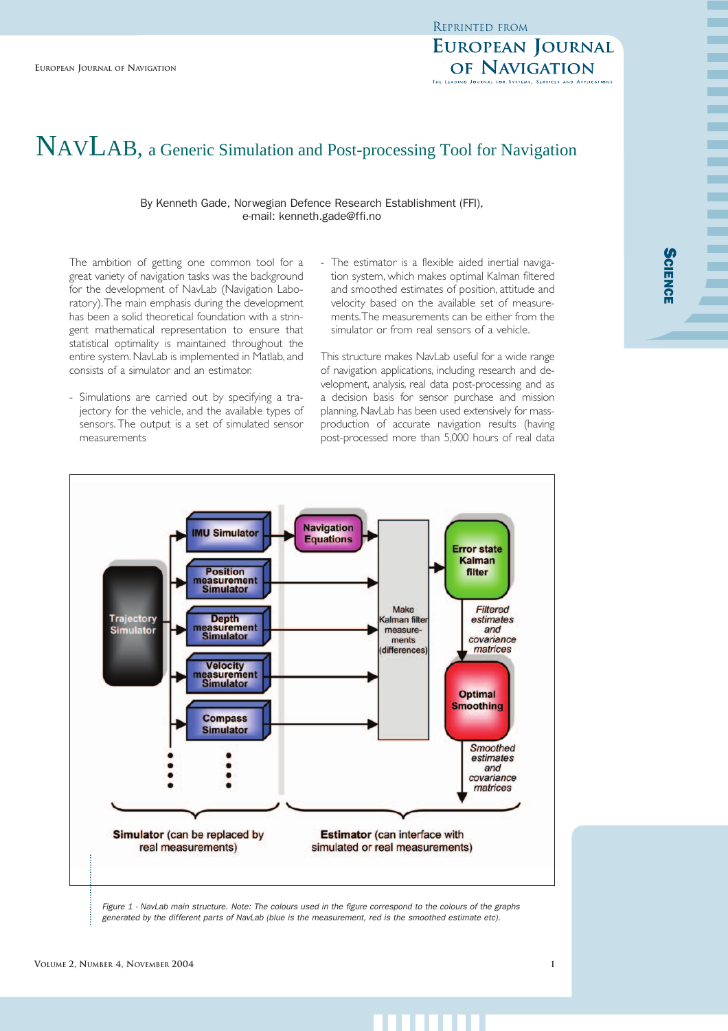# **EUROPEAN JOURNAL** OF NAVIGATION

**Science** 

m.

m

# NAVLAB NAVLAB, a Generic Simulation and Post-processing Tool for Navigation

#### By Kenneth Gade, Norwegian Defence Research Establishment (FFI), e-mail: kenneth.gade@ffi.no

The ambition of getting one common tool for a great variety of navigation tasks was the background for the development of NavLab (Navigation Laboratory).The main emphasis during the development has been a solid theoretical foundation with a stringent mathematical representation to ensure that statistical optimality is maintained throughout the entire system. NavLab is implemented in Matlab, and consists of a simulator and an estimator.

- Simulations are carried out by specifying a trajectory for the vehicle, and the available types of sensors. The output is a set of simulated sensor measurements
- The estimator is a flexible aided inertial navigation system, which makes optimal Kalman filtered and smoothed estimates of position, attitude and velocity based on the available set of measurements.The measurements can be either from the simulator or from real sensors of a vehicle.

This structure makes NavLab useful for a wide range of navigation applications, including research and development, analysis, real data post-processing and as a decision basis for sensor purchase and mission planning. NavLab has been used extensively for massproduction of accurate navigation results (having post-processed more than 5,000 hours of real data



*generated by the different parts of NavLab (blue is the measurement, red is the smoothed estimate etc).*

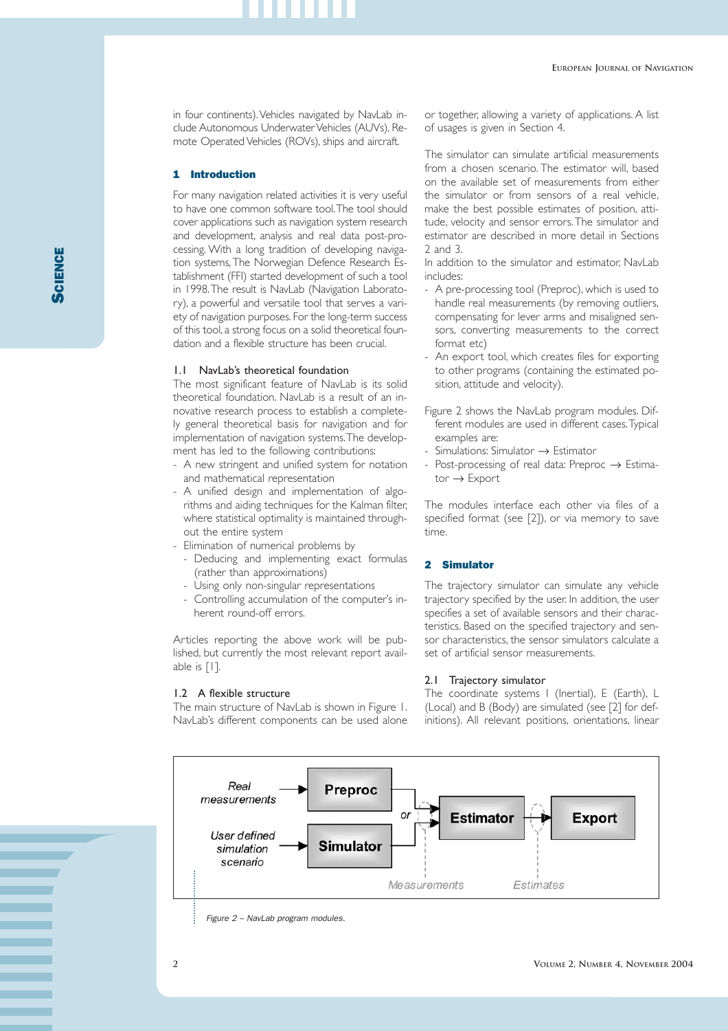**SCIENCE** 

in four continents). Vehicles navigated by NavLab include Autonomous Underwater Vehicles (AUVs), Remote Operated Vehicles (ROVs), ships and aircraft.

# 1 Introduction

For many navigation related activities it is very useful to have one common software tool.The tool should cover applications such as navigation system research and development, analysis and real data post-processing. With a long tradition of developing navigation systems,The Norwegian Defence Research Establishment (FFI) started development of such a tool in 1998.The result is NavLab (Navigation Laboratory), a powerful and versatile tool that serves a variety of navigation purposes. For the long-term success of this tool, a strong focus on a solid theoretical foundation and a flexible structure has been crucial.

# 1.1 NavLab's theoretical foundation

The most significant feature of NavLab is its solid theoretical foundation. NavLab is a result of an innovative research process to establish a completely general theoretical basis for navigation and for implementation of navigation systems.The development has led to the following contributions:

- A new stringent and unified system for notation and mathematical representation
- A unified design and implementation of algorithms and aiding techniques for the Kalman filter, where statistical optimality is maintained throughout the entire system
- Elimination of numerical problems by
	- Deducing and implementing exact formulas (rather than approximations)
	- Using only non-singular representations
	- Controlling accumulation of the computer's inherent round-off errors.

Articles reporting the above work will be published, but currently the most relevant report available is [1].

#### 1.2 A flexible structure

The main structure of NavLab is shown in Figure 1. NavLab's different components can be used alone

or together, allowing a variety of applications. A list of usages is given in Section 4.

The simulator can simulate artificial measurements from a chosen scenario. The estimator will, based on the available set of measurements from either the simulator or from sensors of a real vehicle, make the best possible estimates of position, attitude, velocity and sensor errors.The simulator and estimator are described in more detail in Sections 2 and 3.

In addition to the simulator and estimator, NavLab includes:

- A pre-processing tool (Preproc), which is used to handle real measurements (by removing outliers, compensating for lever arms and misaligned sensors, converting measurements to the correct format etc)
- An export tool, which creates files for exporting to other programs (containing the estimated position, attitude and velocity).
- Figure 2 shows the NavLab program modules. Different modules are used in different cases.Typical examples are:
- Simulations: Simulator → Estimator
- Post-processing of real data: Preproc → Estimator → Export

The modules interface each other via files of a specified format (see [2]), or via memory to save time.

# 2 Simulator

The trajectory simulator can simulate any vehicle trajectory specified by the user. In addition, the user specifies a set of available sensors and their characteristics. Based on the specified trajectory and sensor characteristics, the sensor simulators calculate a set of artificial sensor measurements.

# 2.1 Trajectory simulator

The coordinate systems I (Inertial), E (Earth), L (Local) and B (Body) are simulated (see [2] for definitions). All relevant positions, orientations, linear



*Figure 2 – NavLab program modules.*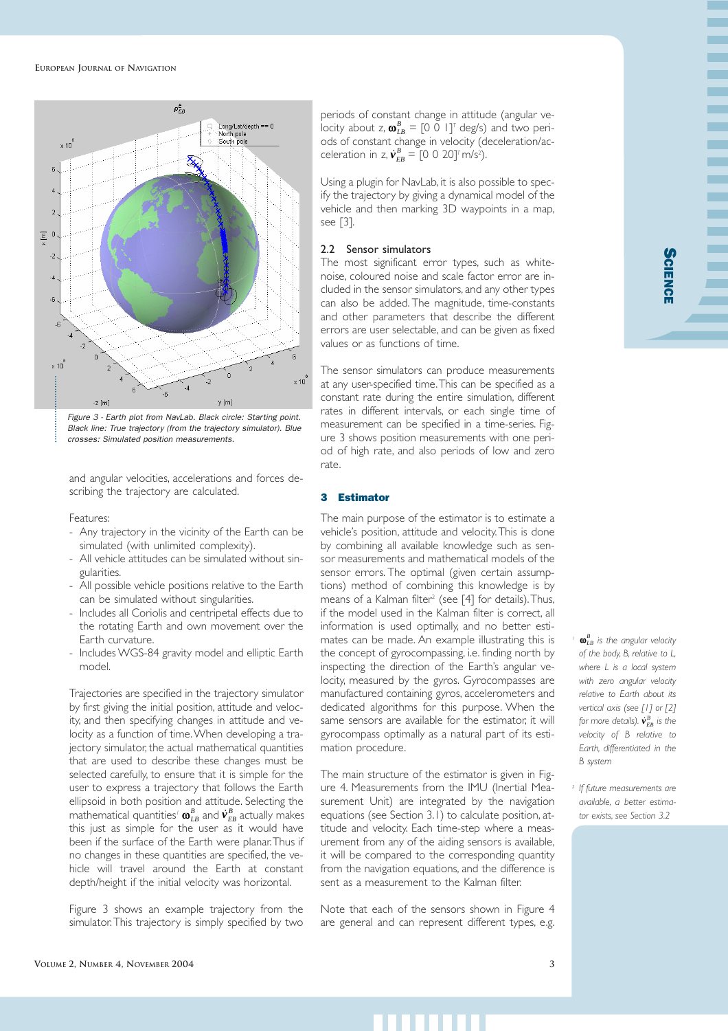

*Black line: True trajectory (from the trajectory simulator). Blue crosses: Simulated position measurements.*

and angular velocities, accelerations and forces describing the trajectory are calculated.

#### Features:

- Any trajectory in the vicinity of the Earth can be simulated (with unlimited complexity).
- All vehicle attitudes can be simulated without singularities.
- All possible vehicle positions relative to the Earth can be simulated without singularities.
- Includes all Coriolis and centripetal effects due to the rotating Earth and own movement over the Earth curvature.
- Includes WGS-84 gravity model and elliptic Earth model.

Trajectories are specified in the trajectory simulator by first giving the initial position, attitude and velocity, and then specifying changes in attitude and velocity as a function of time.When developing a trajectory simulator, the actual mathematical quantities that are used to describe these changes must be selected carefully, to ensure that it is simple for the user to express a trajectory that follows the Earth ellipsoid in both position and attitude. Selecting the mathematical quantities'  $\bm{\alpha}_{\scriptscriptstyle LB}^{\scriptscriptstyle B}$  and  $\dot{\bm{\nu}}_{\scriptscriptstyle EB}^{\scriptscriptstyle B}$  actually makes this just as simple for the user as it would have been if the surface of the Earth were planar.Thus if no changes in these quantities are specified, the vehicle will travel around the Earth at constant depth/height if the initial velocity was horizontal.

Figure 3 shows an example trajectory from the simulator.This trajectory is simply specified by two

periods of constant change in attitude (angular velocity about z,  $\omega_{LB}^B = [0 \ 0 \ 1]^T$  deg/s) and two periods of constant change in velocity (deceleration/acceleration in z,  $\dot{v}_{EB}^B = [0 \ 0 \ 20]^T \text{m/s}^2$ .

Using a plugin for NavLab, it is also possible to specify the trajectory by giving a dynamical model of the vehicle and then marking 3D waypoints in a map, see [3].

# 2.2 Sensor simulators

The most significant error types, such as whitenoise, coloured noise and scale factor error are included in the sensor simulators, and any other types can also be added. The magnitude, time-constants and other parameters that describe the different errors are user selectable, and can be given as fixed values or as functions of time.

The sensor simulators can produce measurements at any user-specified time.This can be specified as a constant rate during the entire simulation, different rates in different intervals, or each single time of measurement can be specified in a time-series. Figure 3 shows position measurements with one period of high rate, and also periods of low and zero rate.

#### 3 Estimator

The main purpose of the estimator is to estimate a vehicle's position, attitude and velocity.This is done by combining all available knowledge such as sensor measurements and mathematical models of the sensor errors. The optimal (given certain assumptions) method of combining this knowledge is by means of a Kalman filter<sup>2</sup> (see  $[4]$  for details). Thus, if the model used in the Kalman filter is correct, all information is used optimally, and no better estimates can be made. An example illustrating this is the concept of gyrocompassing, i.e. finding north by inspecting the direction of the Earth's angular velocity, measured by the gyros. Gyrocompasses are manufactured containing gyros, accelerometers and dedicated algorithms for this purpose. When the same sensors are available for the estimator, it will gyrocompass optimally as a natural part of its estimation procedure.

The main structure of the estimator is given in Figure 4. Measurements from the IMU (Inertial Measurement Unit) are integrated by the navigation equations (see Section 3.1) to calculate position, attitude and velocity. Each time-step where a measurement from any of the aiding sensors is available, it will be compared to the corresponding quantity from the navigation equations, and the difference is sent as a measurement to the Kalman filter.

Note that each of the sensors shown in Figure 4 are general and can represent different types, e.g.  $^{\prime}$   $\omega_{\scriptscriptstyle LB}^{\scriptscriptstyle B}$  is the angular velocity *of the body, B, relative to L, where L is a local system with zero angular velocity relative to Earth about its vertical axis (see [1] or [2] for more details).*  $\dot{\boldsymbol{v}}_{\scriptscriptstyle EB}^{\scriptscriptstyle B}$  *is the velocity of B relative to Earth, differentiated in the B system*

*<sup>2</sup> If future measurements are available, a better estimator exists, see Section 3.2*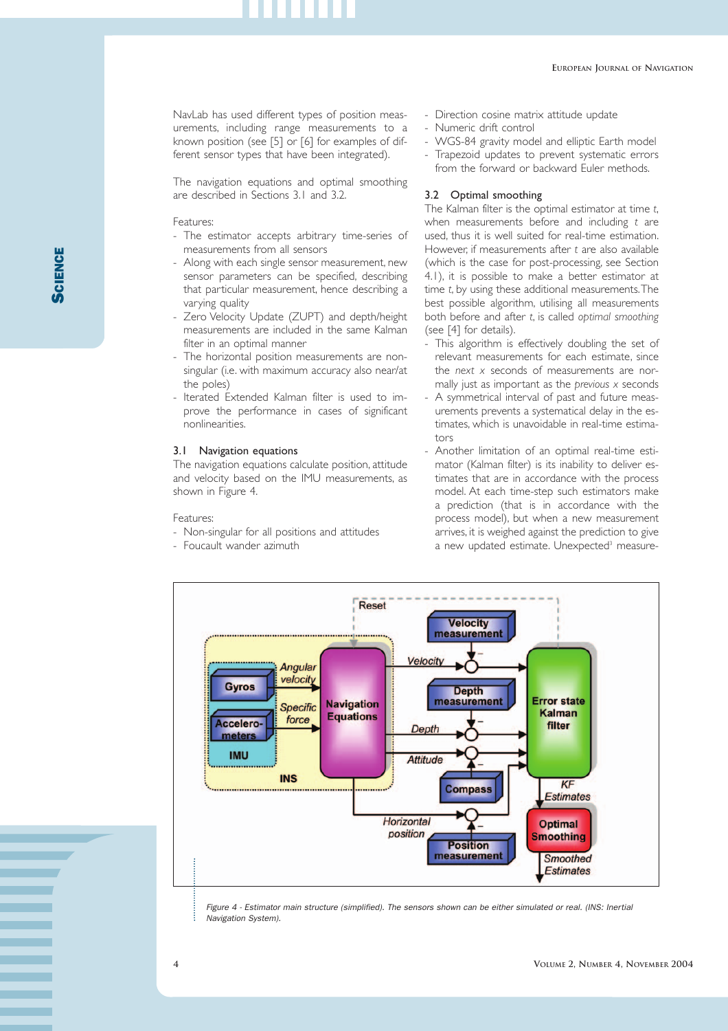**SCIENCE** 

NavLab has used different types of position measurements, including range measurements to a known position (see [5] or [6] for examples of different sensor types that have been integrated).

The navigation equations and optimal smoothing are described in Sections 3.1 and 3.2.

Features:

- The estimator accepts arbitrary time-series of measurements from all sensors
- Along with each single sensor measurement, new sensor parameters can be specified, describing that particular measurement, hence describing a varying quality
- Zero Velocity Update (ZUPT) and depth/height measurements are included in the same Kalman filter in an optimal manner
- The horizontal position measurements are nonsingular (i.e. with maximum accuracy also near/at the poles)
- Iterated Extended Kalman filter is used to improve the performance in cases of significant nonlinearities.

# 3.1 Navigation equations

The navigation equations calculate position, attitude and velocity based on the IMU measurements, as shown in Figure 4.

#### Features:

- Non-singular for all positions and attitudes
- Foucault wander azimuth
- Direction cosine matrix attitude update
- Numeric drift control
- WGS-84 gravity model and elliptic Earth model
- Trapezoid updates to prevent systematic errors from the forward or backward Euler methods.

# 3.2 Optimal smoothing

The Kalman filter is the optimal estimator at time *t*, when measurements before and including *t* are used, thus it is well suited for real-time estimation. However, if measurements after *t* are also available (which is the case for post-processing, see Section 4.1), it is possible to make a better estimator at time *t*, by using these additional measurements.The best possible algorithm, utilising all measurements both before and after *t*, is called *optimal smoothing* (see [4] for details).

- This algorithm is effectively doubling the set of relevant measurements for each estimate, since the *next x* seconds of measurements are normally just as important as the *previous x* seconds
- A symmetrical interval of past and future measurements prevents a systematical delay in the estimates, which is unavoidable in real-time estimators
- Another limitation of an optimal real-time estimator (Kalman filter) is its inability to deliver estimates that are in accordance with the process model. At each time-step such estimators make a prediction (that is in accordance with the process model), but when a new measurement arrives, it is weighed against the prediction to give a new updated estimate. Unexpected<sup>3</sup> measure-



*Figure 4 - Estimator main structure (simplified). The sensors shown can be either simulated or real. (INS: Inertial Navigation System).*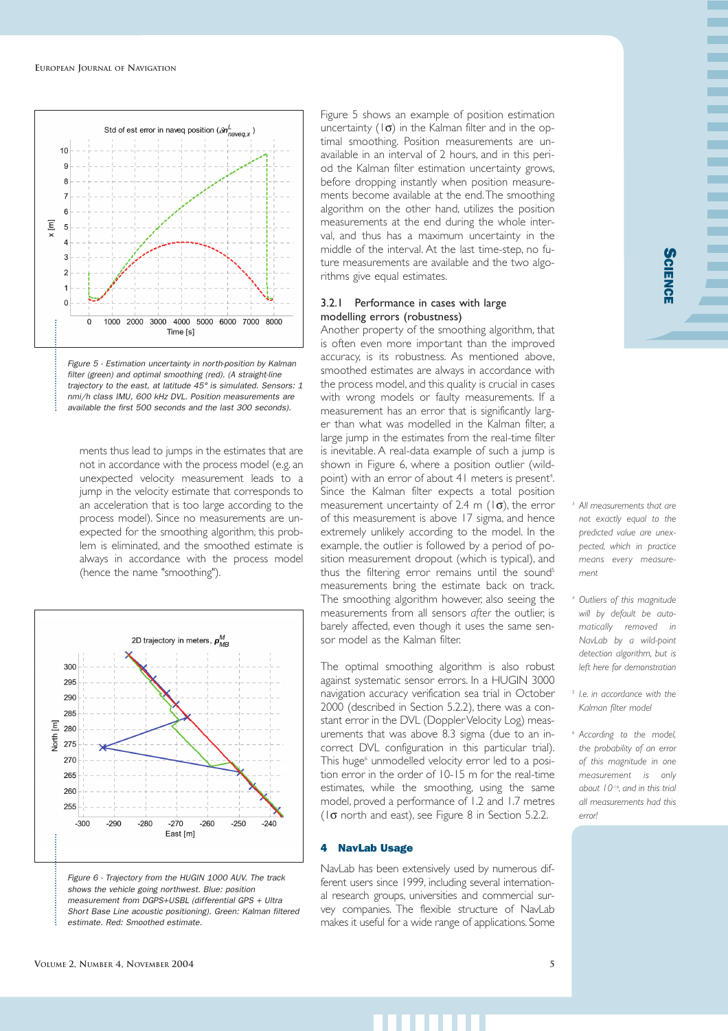



ments thus lead to jumps in the estimates that are not in accordance with the process model (e.g. an unexpected velocity measurement leads to a jump in the velocity estimate that corresponds to an acceleration that is too large according to the process model). Since no measurements are unexpected for the smoothing algorithm, this problem is eliminated, and the smoothed estimate is always in accordance with the process model (hence the name "smoothing").



*shows the vehicle going northwest. Blue: position measurement from DGPS+USBL (differential GPS + Ultra Short Base Line acoustic positioning). Green: Kalman filtered estimate. Red: Smoothed estimate.*

Figure 5 shows an example of position estimation uncertainty  $(1\sigma)$  in the Kalman filter and in the optimal smoothing. Position measurements are unavailable in an interval of 2 hours, and in this period the Kalman filter estimation uncertainty grows, before dropping instantly when position measurements become available at the end.The smoothing algorithm on the other hand, utilizes the position measurements at the end during the whole interval, and thus has a maximum uncertainty in the middle of the interval. At the last time-step, no future measurements are available and the two algorithms give equal estimates.

# 3.2.1 Performance in cases with large modelling errors (robustness)

Another property of the smoothing algorithm, that is often even more important than the improved accuracy, is its robustness. As mentioned above, smoothed estimates are always in accordance with the process model, and this quality is crucial in cases with wrong models or faulty measurements. If a measurement has an error that is significantly larger than what was modelled in the Kalman filter, a large jump in the estimates from the real-time filter is inevitable. A real-data example of such a jump is shown in Figure 6, where a position outlier (wildpoint) with an error of about 41 meters is present<sup>4</sup>. . Since the Kalman filter expects a total position measurement uncertainty of 2.4 m  $(\mathcal{A})$ , the error of this measurement is above 17 sigma, and hence extremely unlikely according to the model. In the example, the outlier is followed by a period of position measurement dropout (which is typical), and thus the filtering error remains until the sound<sup>5</sup> measurements bring the estimate back on track. The smoothing algorithm however, also seeing the measurements from all sensors *after* the outlier, is barely affected, even though it uses the same sensor model as the Kalman filter.

The optimal smoothing algorithm is also robust against systematic sensor errors. In a HUGIN 3000 navigation accuracy verification sea trial in October 2000 (described in Section 5.2.2), there was a constant error in the DVL (Doppler Velocity Log) measurements that was above 8.3 sigma (due to an incorrect DVL configuration in this particular trial). This huge<sup>6</sup> unmodelled velocity error led to a position error in the order of 10-15 m for the real-time estimates, while the smoothing, using the same model, proved a performance of 1.2 and 1.7 metres ( $1\sigma$  north and east), see Figure 8 in Section 5.2.2.

#### 4 NavLab Usage

NavLab has been extensively used by numerous different users since 1999, including several international research groups, universities and commercial survey companies. The flexible structure of NavLab makes it useful for a wide range of applications. Some

- *<sup>3</sup> All measurements that are not exactly equal to the predicted value are unexpected, which in practice means every measurement*
- *<sup>4</sup> Outliers of this magnitude will by default be automatically removed in NavLab by a wild-point detection algorithm, but is left here for demonstration*
- *<sup>5</sup> I.e. in accordance with the Kalman filter model*
- *<sup>6</sup> According to the model, the probability of an error of this magnitude in one measurement is only about 10-16, and in this trial all measurements had this error!*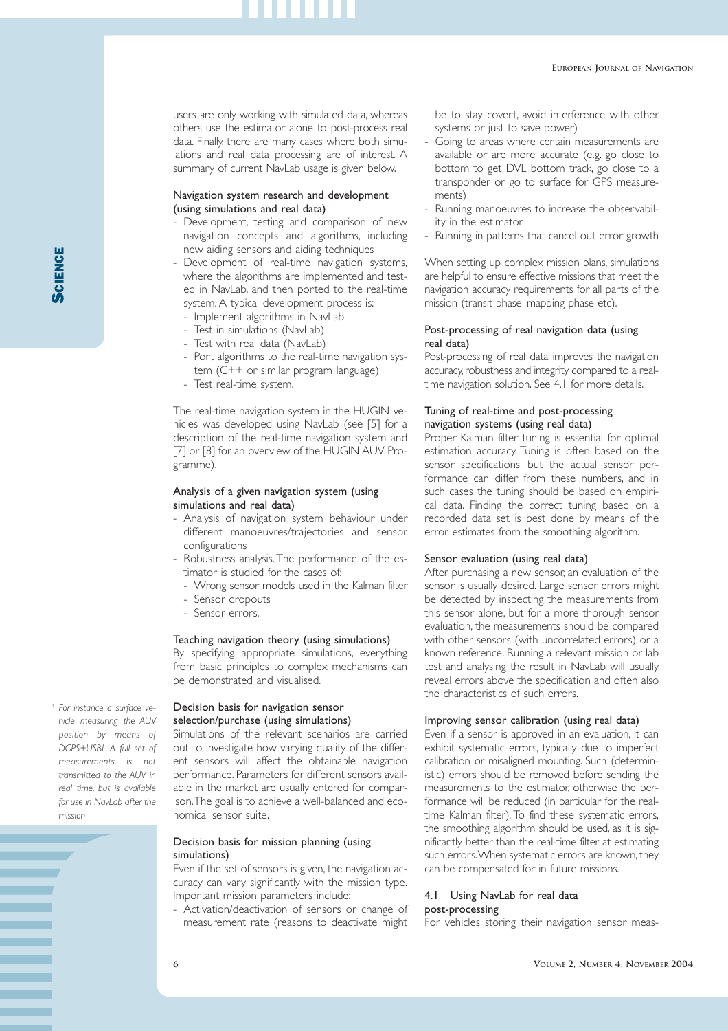users are only working with simulated data, whereas others use the estimator alone to post-process real data. Finally, there are many cases where both simulations and real data processing are of interest. A summary of current NavLab usage is given below.

# Navigation system research and development (using simulations and real data)

- Development, testing and comparison of new navigation concepts and algorithms, including new aiding sensors and aiding techniques
- Development of real-time navigation systems, where the algorithms are implemented and tested in NavLab, and then ported to the real-time system. A typical development process is:
	- Implement algorithms in NavLab
	- Test in simulations (NavLab)
	- Test with real data (NavLab)
	- Port algorithms to the real-time navigation system (C++ or similar program language)
	- Test real-time system.

The real-time navigation system in the HUGIN vehicles was developed using NavLab (see [5] for a description of the real-time navigation system and [7] or [8] for an overview of the HUGIN AUV Programme).

#### Analysis of a given navigation system (using simulations and real data)

- Analysis of navigation system behaviour under different manoeuvres/trajectories and sensor configurations
- Robustness analysis. The performance of the estimator is studied for the cases of:
	- Wrong sensor models used in the Kalman filter
	- Sensor dropouts
	- Sensor errors.

# Teaching navigation theory (using simulations)

By specifying appropriate simulations, everything from basic principles to complex mechanisms can be demonstrated and visualised.

#### Decision basis for navigation sensor selection/purchase (using simulations)

Simulations of the relevant scenarios are carried out to investigate how varying quality of the different sensors will affect the obtainable navigation performance. Parameters for different sensors available in the market are usually entered for comparison.The goal is to achieve a well-balanced and economical sensor suite.

# Decision basis for mission planning (using simulations)

Even if the set of sensors is given, the navigation accuracy can vary significantly with the mission type. Important mission parameters include:

- Activation/deactivation of sensors or change of measurement rate (reasons to deactivate might be to stay covert, avoid interference with other systems or just to save power)

- Going to areas where certain measurements are available or are more accurate (e.g. go close to bottom to get DVL bottom track, go close to a transponder or go to surface for GPS measurements)
- Running manoeuvres to increase the observability in the estimator
- Running in patterns that cancel out error growth

When setting up complex mission plans, simulations are helpful to ensure effective missions that meet the navigation accuracy requirements for all parts of the mission (transit phase, mapping phase etc).

# Post-processing of real navigation data (using real data)

Post-processing of real data improves the navigation accuracy, robustness and integrity compared to a realtime navigation solution. See 4.1 for more details.

# Tuning of real-time and post-processing navigation systems (using real data)

Proper Kalman filter tuning is essential for optimal estimation accuracy. Tuning is often based on the sensor specifications, but the actual sensor performance can differ from these numbers, and in such cases the tuning should be based on empirical data. Finding the correct tuning based on a recorded data set is best done by means of the error estimates from the smoothing algorithm.

### Sensor evaluation (using real data)

After purchasing a new sensor, an evaluation of the sensor is usually desired. Large sensor errors might be detected by inspecting the measurements from this sensor alone, but for a more thorough sensor evaluation, the measurements should be compared with other sensors (with uncorrelated errors) or a known reference. Running a relevant mission or lab test and analysing the result in NavLab will usually reveal errors above the specification and often also the characteristics of such errors.

# Improving sensor calibration (using real data)

Even if a sensor is approved in an evaluation, it can exhibit systematic errors, typically due to imperfect calibration or misaligned mounting. Such (deterministic) errors should be removed before sending the measurements to the estimator, otherwise the performance will be reduced (in particular for the realtime Kalman filter). To find these systematic errors, the smoothing algorithm should be used, as it is significantly better than the real-time filter at estimating such errors.When systematic errors are known, they can be compensated for in future missions.

#### 4.1 Using NavLab for real data post-processing

For vehicles storing their navigation sensor meas-

*hicle measuring the AUV position by means of DGPS+USBL. A full set of measurements is not transmitted to the AUV in real time, but is available for use in NavLab after the mission*

*<sup>7</sup> For instance a surface ve-*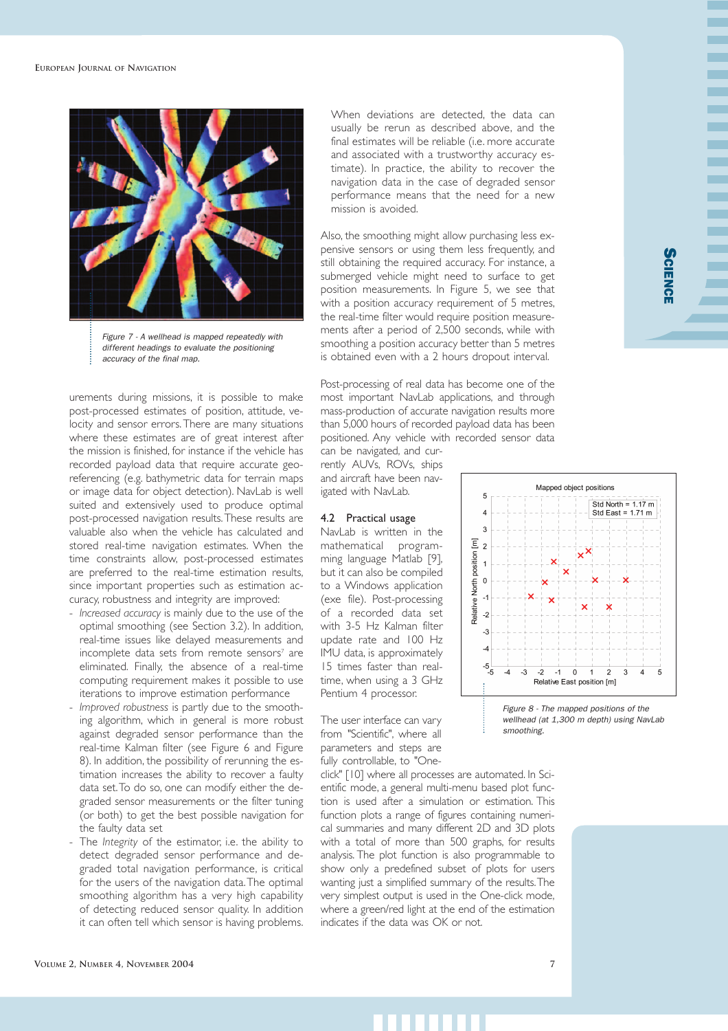

*Figure 7 - A wellhead is mapped repeatedly with different headings to evaluate the positioning accuracy of the final map.*

urements during missions, it is possible to make post-processed estimates of position, attitude, velocity and sensor errors.There are many situations where these estimates are of great interest after the mission is finished, for instance if the vehicle has recorded payload data that require accurate georeferencing (e.g. bathymetric data for terrain maps or image data for object detection). NavLab is well suited and extensively used to produce optimal post-processed navigation results.These results are valuable also when the vehicle has calculated and stored real-time navigation estimates. When the time constraints allow, post-processed estimates are preferred to the real-time estimation results, since important properties such as estimation accuracy, robustness and integrity are improved:

- *Increased accuracy* is mainly due to the use of the optimal smoothing (see Section 3.2). In addition, real-time issues like delayed measurements and incomplete data sets from remote sensors<sup>7</sup> are eliminated. Finally, the absence of a real-time computing requirement makes it possible to use iterations to improve estimation performance
- *Improved robustness* is partly due to the smoothing algorithm, which in general is more robust against degraded sensor performance than the real-time Kalman filter (see Figure 6 and Figure 8). In addition, the possibility of rerunning the estimation increases the ability to recover a faulty data set.To do so, one can modify either the degraded sensor measurements or the filter tuning (or both) to get the best possible navigation for the faulty data set
- The *Integrity* of the estimator, i.e. the ability to detect degraded sensor performance and degraded total navigation performance, is critical for the users of the navigation data.The optimal smoothing algorithm has a very high capability of detecting reduced sensor quality. In addition it can often tell which sensor is having problems.

When deviations are detected, the data can usually be rerun as described above, and the final estimates will be reliable (i.e. more accurate and associated with a trustworthy accuracy estimate). In practice, the ability to recover the navigation data in the case of degraded sensor performance means that the need for a new mission is avoided.

Also, the smoothing might allow purchasing less expensive sensors or using them less frequently, and still obtaining the required accuracy. For instance, a submerged vehicle might need to surface to get position measurements. In Figure 5, we see that with a position accuracy requirement of 5 metres, the real-time filter would require position measurements after a period of 2,500 seconds, while with smoothing a position accuracy better than 5 metres is obtained even with a 2 hours dropout interval.

Post-processing of real data has become one of the most important NavLab applications, and through mass-production of accurate navigation results more than 5,000 hours of recorded payload data has been positioned. Any vehicle with recorded sensor data

can be navigated, and currently AUVs, ROVs, ships and aircraft have been navigated with NavLab.

# 4.2 Practical usage

NavLab is written in the mathematical programming language Matlab [9], but it can also be compiled to a Windows application (exe file). Post-processing of a recorded data set with 3-5 Hz Kalman filter update rate and 100 Hz IMU data, is approximately 15 times faster than realtime, when using a 3 GHz Pentium 4 processor.

The user interface can vary from "Scientific", where all parameters and steps are fully controllable, to "One-

click" [10] where all processes are automated. In Scientific mode, a general multi-menu based plot function is used after a simulation or estimation. This function plots a range of figures containing numerical summaries and many different 2D and 3D plots with a total of more than 500 graphs, for results analysis. The plot function is also programmable to show only a predefined subset of plots for users wanting just a simplified summary of the results.The very simplest output is used in the One-click mode, where a green/red light at the end of the estimation indicates if the data was OK or not.

SCIENCE



*Figure 8 - The mapped positions of the wellhead (at 1,300 m depth) using NavLab smoothing.*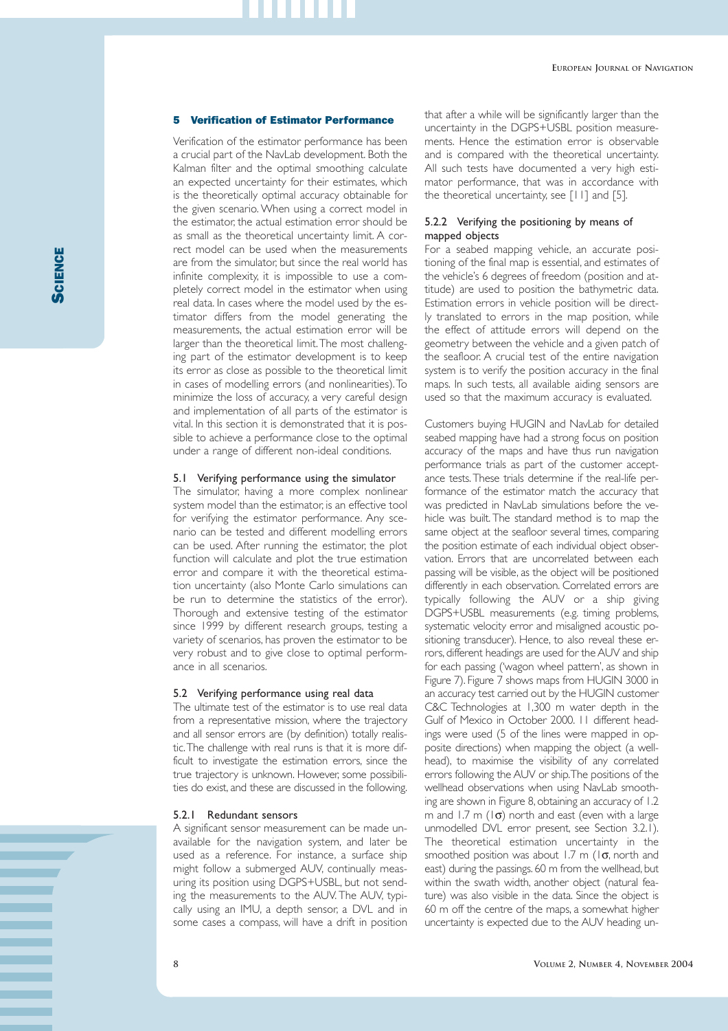### 5 Verification of Estimator Performance

Verification of the estimator performance has been a crucial part of the NavLab development. Both the Kalman filter and the optimal smoothing calculate an expected uncertainty for their estimates, which is the theoretically optimal accuracy obtainable for the given scenario. When using a correct model in the estimator, the actual estimation error should be as small as the theoretical uncertainty limit. A correct model can be used when the measurements are from the simulator, but since the real world has infinite complexity, it is impossible to use a completely correct model in the estimator when using real data. In cases where the model used by the estimator differs from the model generating the measurements, the actual estimation error will be larger than the theoretical limit.The most challenging part of the estimator development is to keep its error as close as possible to the theoretical limit in cases of modelling errors (and nonlinearities).To minimize the loss of accuracy, a very careful design and implementation of all parts of the estimator is vital. In this section it is demonstrated that it is possible to achieve a performance close to the optimal under a range of different non-ideal conditions.

# 5.1 Verifying performance using the simulator

The simulator, having a more complex nonlinear system model than the estimator, is an effective tool for verifying the estimator performance. Any scenario can be tested and different modelling errors can be used. After running the estimator, the plot function will calculate and plot the true estimation error and compare it with the theoretical estimation uncertainty (also Monte Carlo simulations can be run to determine the statistics of the error). Thorough and extensive testing of the estimator since 1999 by different research groups, testing a variety of scenarios, has proven the estimator to be very robust and to give close to optimal performance in all scenarios.

#### 5.2 Verifying performance using real data

The ultimate test of the estimator is to use real data from a representative mission, where the trajectory and all sensor errors are (by definition) totally realistic.The challenge with real runs is that it is more difficult to investigate the estimation errors, since the true trajectory is unknown. However, some possibilities do exist, and these are discussed in the following.

### 5.2.1 Redundant sensors

A significant sensor measurement can be made unavailable for the navigation system, and later be used as a reference. For instance, a surface ship might follow a submerged AUV, continually measuring its position using DGPS+USBL, but not sending the measurements to the AUV. The AUV, typically using an IMU, a depth sensor, a DVL and in some cases a compass, will have a drift in position

that after a while will be significantly larger than the uncertainty in the DGPS+USBL position measurements. Hence the estimation error is observable and is compared with the theoretical uncertainty. All such tests have documented a very high estimator performance, that was in accordance with the theoretical uncertainty, see [11] and [5].

# 5.2.2 Verifying the positioning by means of mapped objects

For a seabed mapping vehicle, an accurate positioning of the final map is essential, and estimates of the vehicle's 6 degrees of freedom (position and attitude) are used to position the bathymetric data. Estimation errors in vehicle position will be directly translated to errors in the map position, while the effect of attitude errors will depend on the geometry between the vehicle and a given patch of the seafloor. A crucial test of the entire navigation system is to verify the position accuracy in the final maps. In such tests, all available aiding sensors are used so that the maximum accuracy is evaluated.

Customers buying HUGIN and NavLab for detailed seabed mapping have had a strong focus on position accuracy of the maps and have thus run navigation performance trials as part of the customer acceptance tests.These trials determine if the real-life performance of the estimator match the accuracy that was predicted in NavLab simulations before the vehicle was built. The standard method is to map the same object at the seafloor several times, comparing the position estimate of each individual object observation. Errors that are uncorrelated between each passing will be visible, as the object will be positioned differently in each observation. Correlated errors are typically following the AUV or a ship giving DGPS+USBL measurements (e.g. timing problems, systematic velocity error and misaligned acoustic positioning transducer). Hence, to also reveal these errors, different headings are used for the AUV and ship for each passing ('wagon wheel pattern', as shown in Figure 7). Figure 7 shows maps from HUGIN 3000 in an accuracy test carried out by the HUGIN customer C&C Technologies at 1,300 m water depth in the Gulf of Mexico in October 2000. 11 different headings were used (5 of the lines were mapped in opposite directions) when mapping the object (a wellhead), to maximise the visibility of any correlated errors following the AUV or ship.The positions of the wellhead observations when using NavLab smoothing are shown in Figure 8, obtaining an accuracy of 1.2 m and 1.7 m  $(1\sigma)$  north and east (even with a large unmodelled DVL error present, see Section 3.2.1). The theoretical estimation uncertainty in the smoothed position was about 1.7 m ( $1\sigma$ , north and east) during the passings. 60 m from the wellhead, but within the swath width, another object (natural feature) was also visible in the data. Since the object is 60 m off the centre of the maps, a somewhat higher uncertainty is expected due to the AUV heading un